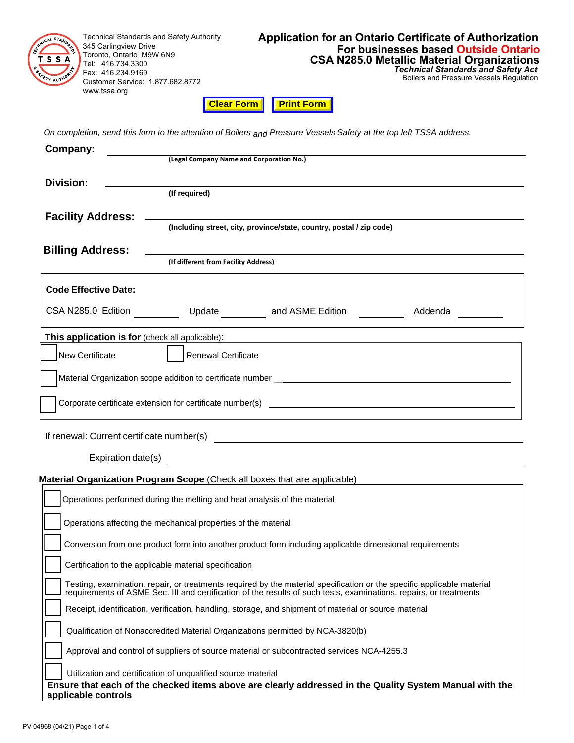Technical Standards and Safety Authority LST 345 Carlingview Drive Toronto, Ontario M9W 6N9 SSA Tel: 416.734.3300 Fax: 416.234.9169 Y AUTY Customer Service: 1.877.682.8772 www.tssa.org

Boilers and Pressure Vessels Regulation

**Clear Form Print Form** 

*On completion, send this form to the attention of Boilers and Pressure Vessels Safety at the top left TSSA address.*

| Company:                                                                                                                                                                                                                                     |                                                                                                       |                                                                                                                       |                                                                                                         |  |  |  |
|----------------------------------------------------------------------------------------------------------------------------------------------------------------------------------------------------------------------------------------------|-------------------------------------------------------------------------------------------------------|-----------------------------------------------------------------------------------------------------------------------|---------------------------------------------------------------------------------------------------------|--|--|--|
|                                                                                                                                                                                                                                              | (Legal Company Name and Corporation No.)                                                              |                                                                                                                       |                                                                                                         |  |  |  |
| <b>Division:</b>                                                                                                                                                                                                                             |                                                                                                       |                                                                                                                       |                                                                                                         |  |  |  |
|                                                                                                                                                                                                                                              | (If required)                                                                                         |                                                                                                                       |                                                                                                         |  |  |  |
| <b>Facility Address:</b>                                                                                                                                                                                                                     |                                                                                                       |                                                                                                                       |                                                                                                         |  |  |  |
|                                                                                                                                                                                                                                              |                                                                                                       | (Including street, city, province/state, country, postal / zip code)                                                  |                                                                                                         |  |  |  |
| <b>Billing Address:</b>                                                                                                                                                                                                                      |                                                                                                       |                                                                                                                       |                                                                                                         |  |  |  |
|                                                                                                                                                                                                                                              | (If different from Facility Address)                                                                  |                                                                                                                       |                                                                                                         |  |  |  |
| <b>Code Effective Date:</b>                                                                                                                                                                                                                  |                                                                                                       |                                                                                                                       |                                                                                                         |  |  |  |
|                                                                                                                                                                                                                                              |                                                                                                       | CSA N285.0 Edition _____________ Update ___________ and ASME Edition ___________                                      | Addenda                                                                                                 |  |  |  |
| This application is for (check all applicable):                                                                                                                                                                                              |                                                                                                       | <u> 1989 - Johann Stoff, deutscher Stoffen und der Stoffen und der Stoffen und der Stoffen und der Stoffen und de</u> |                                                                                                         |  |  |  |
| New Certificate                                                                                                                                                                                                                              | Renewal Certificate                                                                                   |                                                                                                                       |                                                                                                         |  |  |  |
|                                                                                                                                                                                                                                              |                                                                                                       |                                                                                                                       |                                                                                                         |  |  |  |
|                                                                                                                                                                                                                                              |                                                                                                       |                                                                                                                       |                                                                                                         |  |  |  |
|                                                                                                                                                                                                                                              |                                                                                                       |                                                                                                                       |                                                                                                         |  |  |  |
|                                                                                                                                                                                                                                              |                                                                                                       |                                                                                                                       |                                                                                                         |  |  |  |
|                                                                                                                                                                                                                                              |                                                                                                       |                                                                                                                       |                                                                                                         |  |  |  |
|                                                                                                                                                                                                                                              |                                                                                                       |                                                                                                                       |                                                                                                         |  |  |  |
|                                                                                                                                                                                                                                              |                                                                                                       | Material Organization Program Scope (Check all boxes that are applicable)                                             |                                                                                                         |  |  |  |
|                                                                                                                                                                                                                                              | Operations performed during the melting and heat analysis of the material                             |                                                                                                                       |                                                                                                         |  |  |  |
| Operations affecting the mechanical properties of the material                                                                                                                                                                               |                                                                                                       |                                                                                                                       |                                                                                                         |  |  |  |
|                                                                                                                                                                                                                                              |                                                                                                       |                                                                                                                       |                                                                                                         |  |  |  |
| Conversion from one product form into another product form including applicable dimensional requirements                                                                                                                                     |                                                                                                       |                                                                                                                       |                                                                                                         |  |  |  |
| Certification to the applicable material specification                                                                                                                                                                                       |                                                                                                       |                                                                                                                       |                                                                                                         |  |  |  |
| Testing, examination, repair, or treatments required by the material specification or the specific applicable material<br>requirements of ASME Sec. III and certification of the results of such tests, examinations, repairs, or treatments |                                                                                                       |                                                                                                                       |                                                                                                         |  |  |  |
|                                                                                                                                                                                                                                              | Receipt, identification, verification, handling, storage, and shipment of material or source material |                                                                                                                       |                                                                                                         |  |  |  |
|                                                                                                                                                                                                                                              | Qualification of Nonaccredited Material Organizations permitted by NCA-3820(b)                        |                                                                                                                       |                                                                                                         |  |  |  |
|                                                                                                                                                                                                                                              | Approval and control of suppliers of source material or subcontracted services NCA-4255.3             |                                                                                                                       |                                                                                                         |  |  |  |
|                                                                                                                                                                                                                                              | Utilization and certification of unqualified source material                                          |                                                                                                                       |                                                                                                         |  |  |  |
|                                                                                                                                                                                                                                              |                                                                                                       |                                                                                                                       | Ensure that each of the checked items above are clearly addressed in the Quality System Manual with the |  |  |  |
| applicable controls                                                                                                                                                                                                                          |                                                                                                       |                                                                                                                       |                                                                                                         |  |  |  |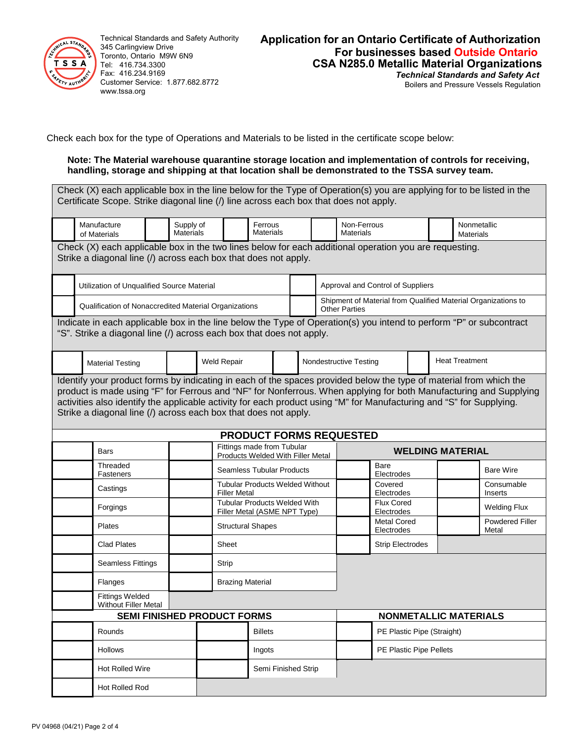

Technical Standards and Safety Authority 345 Carlingview Drive Toronto, Ontario M9W 6N9 Tel: 416.734.3300 Fax: 416.234.9169 Customer Service: 1.877.682.8772 www.tssa.org

## **Application for an Ontario Certificate of Authorization For businesses based Outside Ontario CSA N285.0 Metallic Material Organizations** *Technical Standards and Safety Act*

Boilers and Pressure Vessels Regulation

Check each box for the type of Operations and Materials to be listed in the certificate scope below:

### **Note: The Material warehouse quarantine storage location and implementation of controls for receiving, handling, storage and shipping at that location shall be demonstrated to the TSSA survey team.**

Check (X) each applicable box in the line below for the Type of Operation(s) you are applying for to be listed in the Certificate Scope. Strike diagonal line (/) line across each box that does not apply.

|                                                                                                                                                                           | Manufacture<br>of Materials                                                                                                                                                                                                                                                                                                                                                                                                        | Supply of<br><b>Materials</b> |                                                                     |                                                                 | Ferrous<br><b>Materials</b>       |  |                                                                                       | Non-Ferrous<br><b>Materials</b>  |                                 |  |                                 | Nonmetallic<br><b>Materials</b> |
|---------------------------------------------------------------------------------------------------------------------------------------------------------------------------|------------------------------------------------------------------------------------------------------------------------------------------------------------------------------------------------------------------------------------------------------------------------------------------------------------------------------------------------------------------------------------------------------------------------------------|-------------------------------|---------------------------------------------------------------------|-----------------------------------------------------------------|-----------------------------------|--|---------------------------------------------------------------------------------------|----------------------------------|---------------------------------|--|---------------------------------|---------------------------------|
| Check (X) each applicable box in the two lines below for each additional operation you are requesting.<br>Strike a diagonal line (/) across each box that does not apply. |                                                                                                                                                                                                                                                                                                                                                                                                                                    |                               |                                                                     |                                                                 |                                   |  |                                                                                       |                                  |                                 |  |                                 |                                 |
| Utilization of Unqualified Source Material                                                                                                                                |                                                                                                                                                                                                                                                                                                                                                                                                                                    |                               |                                                                     |                                                                 | Approval and Control of Suppliers |  |                                                                                       |                                  |                                 |  |                                 |                                 |
|                                                                                                                                                                           | Qualification of Nonaccredited Material Organizations                                                                                                                                                                                                                                                                                                                                                                              |                               |                                                                     |                                                                 |                                   |  | Shipment of Material from Qualified Material Organizations to<br><b>Other Parties</b> |                                  |                                 |  |                                 |                                 |
|                                                                                                                                                                           | Indicate in each applicable box in the line below the Type of Operation(s) you intend to perform "P" or subcontract<br>"S". Strike a diagonal line (/) across each box that does not apply.                                                                                                                                                                                                                                        |                               |                                                                     |                                                                 |                                   |  |                                                                                       |                                  |                                 |  |                                 |                                 |
|                                                                                                                                                                           | <b>Material Testing</b>                                                                                                                                                                                                                                                                                                                                                                                                            |                               |                                                                     | Weld Repair                                                     |                                   |  |                                                                                       | Nondestructive Testing           |                                 |  | <b>Heat Treatment</b>           |                                 |
|                                                                                                                                                                           | Identify your product forms by indicating in each of the spaces provided below the type of material from which the<br>product is made using "F" for Ferrous and "NF" for Nonferrous. When applying for both Manufacturing and Supplying<br>activities also identify the applicable activity for each product using "M" for Manufacturing and "S" for Supplying.<br>Strike a diagonal line (/) across each box that does not apply. |                               |                                                                     |                                                                 |                                   |  |                                                                                       |                                  |                                 |  |                                 |                                 |
|                                                                                                                                                                           |                                                                                                                                                                                                                                                                                                                                                                                                                                    |                               |                                                                     |                                                                 |                                   |  |                                                                                       | <b>PRODUCT FORMS REQUESTED</b>   |                                 |  |                                 |                                 |
|                                                                                                                                                                           | <b>Bars</b>                                                                                                                                                                                                                                                                                                                                                                                                                        |                               |                                                                     | Fittings made from Tubular<br>Products Welded With Filler Metal |                                   |  |                                                                                       | <b>WELDING MATERIAL</b>          |                                 |  |                                 |                                 |
|                                                                                                                                                                           | Threaded<br>Fasteners                                                                                                                                                                                                                                                                                                                                                                                                              |                               |                                                                     | <b>Seamless Tubular Products</b>                                |                                   |  |                                                                                       |                                  | Bare<br>Electrodes              |  |                                 | <b>Bare Wire</b>                |
|                                                                                                                                                                           | Castings                                                                                                                                                                                                                                                                                                                                                                                                                           |                               | <b>Tubular Products Welded Without</b><br><b>Filler Metal</b>       |                                                                 |                                   |  |                                                                                       |                                  | Covered<br>Electrodes           |  |                                 | Consumable<br>Inserts           |
|                                                                                                                                                                           | Forgings                                                                                                                                                                                                                                                                                                                                                                                                                           |                               | <b>Tubular Products Welded With</b><br>Filler Metal (ASME NPT Type) |                                                                 |                                   |  |                                                                                       |                                  | <b>Flux Cored</b><br>Electrodes |  |                                 | <b>Welding Flux</b>             |
|                                                                                                                                                                           | Plates                                                                                                                                                                                                                                                                                                                                                                                                                             |                               | <b>Structural Shapes</b>                                            |                                                                 |                                   |  |                                                                                       | <b>Metal Cored</b><br>Electrodes |                                 |  | <b>Powdered Filler</b><br>Metal |                                 |
|                                                                                                                                                                           | <b>Clad Plates</b>                                                                                                                                                                                                                                                                                                                                                                                                                 |                               |                                                                     | Sheet                                                           |                                   |  |                                                                                       |                                  | <b>Strip Electrodes</b>         |  |                                 |                                 |
|                                                                                                                                                                           | <b>Seamless Fittings</b>                                                                                                                                                                                                                                                                                                                                                                                                           |                               |                                                                     | Strip                                                           |                                   |  |                                                                                       |                                  |                                 |  |                                 |                                 |
|                                                                                                                                                                           | Flanges                                                                                                                                                                                                                                                                                                                                                                                                                            |                               |                                                                     | <b>Brazing Material</b>                                         |                                   |  |                                                                                       |                                  |                                 |  |                                 |                                 |
|                                                                                                                                                                           | <b>Fittings Welded</b><br>Without Filler Metal                                                                                                                                                                                                                                                                                                                                                                                     |                               |                                                                     |                                                                 |                                   |  |                                                                                       |                                  |                                 |  |                                 |                                 |
| <b>SEMI FINISHED PRODUCT FORMS</b><br><b>NONMETALLIC MATERIALS</b>                                                                                                        |                                                                                                                                                                                                                                                                                                                                                                                                                                    |                               |                                                                     |                                                                 |                                   |  |                                                                                       |                                  |                                 |  |                                 |                                 |
| Rounds                                                                                                                                                                    |                                                                                                                                                                                                                                                                                                                                                                                                                                    | <b>Billets</b>                |                                                                     |                                                                 |                                   |  | PE Plastic Pipe (Straight)                                                            |                                  |                                 |  |                                 |                                 |
|                                                                                                                                                                           | <b>Hollows</b><br>Ingots                                                                                                                                                                                                                                                                                                                                                                                                           |                               |                                                                     |                                                                 |                                   |  | PE Plastic Pipe Pellets                                                               |                                  |                                 |  |                                 |                                 |
|                                                                                                                                                                           | Hot Rolled Wire                                                                                                                                                                                                                                                                                                                                                                                                                    |                               | Semi Finished Strip                                                 |                                                                 |                                   |  |                                                                                       |                                  |                                 |  |                                 |                                 |
|                                                                                                                                                                           | <b>Hot Rolled Rod</b>                                                                                                                                                                                                                                                                                                                                                                                                              |                               |                                                                     |                                                                 |                                   |  |                                                                                       |                                  |                                 |  |                                 |                                 |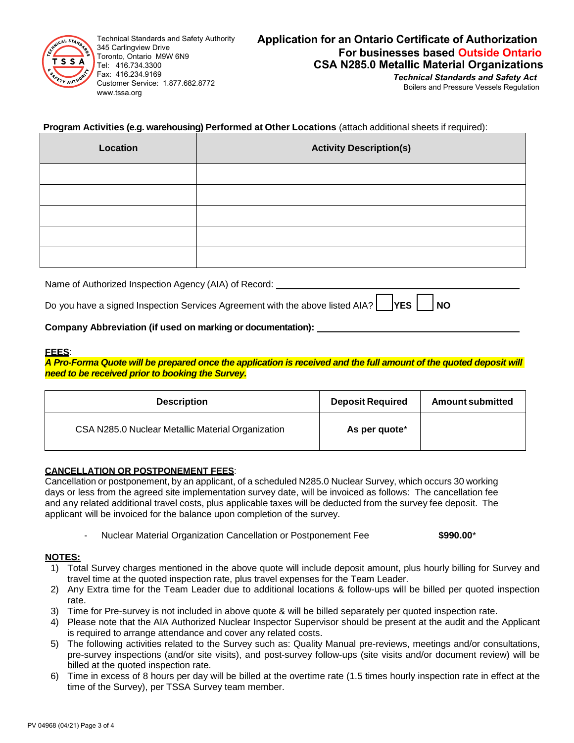

Technical Standards and Safety Authority 345 Carlingview Drive Toronto, Ontario M9W 6N9 Tel: 416.734.3300 Fax: 416.234.9169 Customer Service: 1.877.682.8772 www.tssa.org

# **Application for an Ontario Certificate of Authorization For businesses based Outside Ontario CSA N285.0 Metallic Material Organizations**

*Technical Standards and Safety Act* Boilers and Pressure Vessels Regulation

## **Program Activities (e.g. warehousing) Performed at Other Locations** (attach additional sheets if required):

| Location | <b>Activity Description(s)</b> |
|----------|--------------------------------|
|          |                                |
|          |                                |
|          |                                |
|          |                                |
|          |                                |

Name of Authorized Inspection Agency (AIA) of Record:

| Do you have a signed Inspection Services Agreement with the above listed AIA? VES VES NO |  |  |  |
|------------------------------------------------------------------------------------------|--|--|--|
|------------------------------------------------------------------------------------------|--|--|--|

## **Company Abbreviation (if used on marking or documentation):**

### **FEES**:

*A Pro-Forma Quote will be prepared once the application is received and the full amount of the quoted deposit will need to be received prior to booking the Survey.*

| <b>Description</b>                                | <b>Deposit Required</b> | <b>Amount submitted</b> |
|---------------------------------------------------|-------------------------|-------------------------|
| CSA N285.0 Nuclear Metallic Material Organization | As per quote*           |                         |

### **CANCELLATION OR POSTPONEMENT FEES**:

Cancellation or postponement, by an applicant, of a scheduled N285.0 Nuclear Survey, which occurs 30 working days or less from the agreed site implementation survey date, will be invoiced as follows: The cancellation fee and any related additional travel costs, plus applicable taxes will be deducted from the survey fee deposit. The applicant will be invoiced for the balance upon completion of the survey.

- Nuclear Material Organization Cancellation or Postponement Fee **\$990.00**\*

### **NOTES:**

- 1) Total Survey charges mentioned in the above quote will include deposit amount, plus hourly billing for Survey and travel time at the quoted inspection rate, plus travel expenses for the Team Leader.
- 2) Any Extra time for the Team Leader due to additional locations & follow-ups will be billed per quoted inspection rate.
- 3) Time for Pre-survey is not included in above quote & will be billed separately per quoted inspection rate.
- 4) Please note that the AIA Authorized Nuclear Inspector Supervisor should be present at the audit and the Applicant is required to arrange attendance and cover any related costs.
- 5) The following activities related to the Survey such as: Quality Manual pre-reviews, meetings and/or consultations, pre-survey inspections (and/or site visits), and post-survey follow-ups (site visits and/or document review) will be billed at the quoted inspection rate.
- 6) Time in excess of 8 hours per day will be billed at the overtime rate (1.5 times hourly inspection rate in effect at the time of the Survey), per TSSA Survey team member.